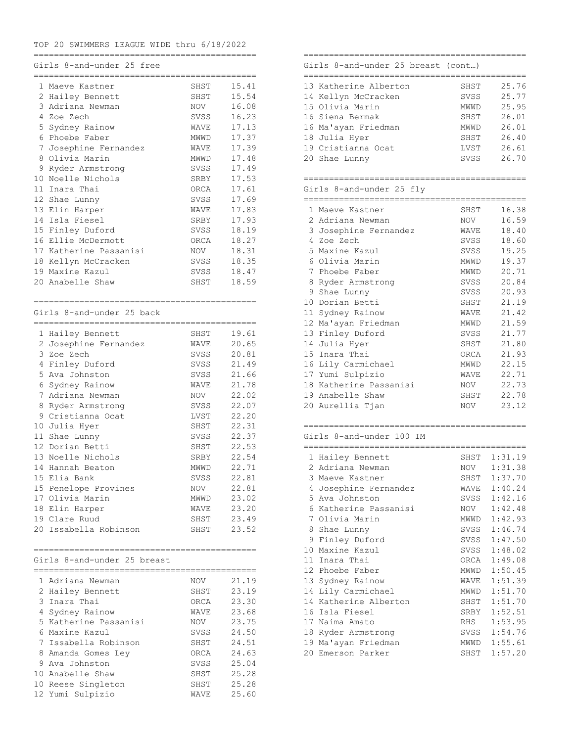### TOP 20 SWIMMERS LEAGUE WIDE thru 6/18/2022

============================================

### Girls 8-and-under 25 free

|             | -------------               | ----------------- |       |
|-------------|-----------------------------|-------------------|-------|
|             | 1 Maeve Kastner             | SHST              | 15.41 |
|             | 2 Hailey Bennett            | SHST              | 15.54 |
|             | 3 Adriana Newman            | NOV               | 16.08 |
|             | 4 Zoe Zech                  | SVSS              | 16.23 |
|             | 5 Sydney Rainow             | WAVE              | 17.13 |
|             | 6 Phoebe Faber              | MWWD              | 17.37 |
|             | 7 Josephine Fernandez       | WAVE              | 17.39 |
|             | 8 Olivia Marin              | MWWD              | 17.48 |
| 9           | Ryder Armstrong             | SVSS              | 17.49 |
|             | 10 Noelle Nichols           | SRBY              | 17.53 |
|             | 11 Inara Thai               | ORCA              | 17.61 |
|             | 12 Shae Lunny               | SVSS              | 17.69 |
|             | 13 Elin Harper              | WAVE              | 17.83 |
| 14          | Isla Fiesel                 | SRBY              | 17.93 |
|             | 15 Finley Duford            | SVSS              | 18.19 |
|             | 16 Ellie McDermott          | ORCA              | 18.27 |
|             | 17 Katherine Passanisi      | NOV               | 18.31 |
|             | 18 Kellyn McCracken         | SVSS              | 18.35 |
|             | 19 Maxine Kazul             | SVSS              | 18.47 |
|             | 20 Anabelle Shaw            | SHST              | 18.59 |
|             |                             |                   |       |
|             |                             |                   |       |
|             | Girls 8-and-under 25 back   |                   |       |
|             |                             |                   |       |
|             |                             |                   |       |
|             | 1 Hailey Bennett            | SHST              | 19.61 |
|             | 2 Josephine Fernandez       | WAVE              | 20.65 |
|             | 3 Zoe Zech                  | SVSS              | 20.81 |
|             | 4 Finley Duford             | SVSS              | 21.49 |
|             | 5 Ava Johnston              | SVSS              | 21.66 |
|             | 6 Sydney Rainow             | WAVE              | 21.78 |
| $7^{\circ}$ | Adriana Newman              | NOV               | 22.02 |
| 8           | Ryder Armstrong             | SVSS              | 22.07 |
|             | 9 Cristianna Ocat           | LVST              | 22.20 |
|             | 10 Julia Hyer               | SHST              | 22.31 |
|             | 11 Shae Lunny               | SVSS              | 22.37 |
|             | 12 Dorian Betti             | SHST              | 22.53 |
|             | 13 Noelle Nichols           | SRBY              | 22.54 |
|             | 14 Hannah Beaton            | MWWD              | 22.71 |
| 15          | Elia Bank                   | SVSS              | 22.81 |
| 15          | Penelope Provines           | <b>NOV</b>        | 22.81 |
|             | 17 Olivia Marin             | MWWD              | 23.02 |
|             | 18 Elin Harper              | WAVE              | 23.20 |
|             | 19 Clare Ruud               | SHST              | 23.49 |
|             | 20 Issabella Robinson       | SHST              | 23.52 |
|             |                             |                   |       |
|             |                             |                   |       |
|             | Girls 8-and-under 25 breast |                   |       |
|             |                             |                   |       |
|             | 1 Adriana Newman            | NOV               | 21.19 |
|             | 2 Hailey Bennett            | SHST              | 23.19 |
|             | 3 Inara Thai                | ORCA              | 23.30 |
|             | 4 Sydney Rainow             | WAVE              | 23.68 |
|             | 5 Katherine Passanisi       | NOV               | 23.75 |
|             | 6 Maxine Kazul              | SVSS              | 24.50 |
|             | 7 Issabella Robinson        | SHST              | 24.51 |
|             | 8 Amanda Gomes Ley          | ORCA              | 24.63 |
|             | 9 Ava Johnston              | SVSS              | 25.04 |
|             | 10 Anabelle Shaw            | SHST              | 25.28 |
|             | 10 Reese Singleton          | SHST              | 25.28 |
|             | 12 Yumi Sulpizio            | WAVE              | 25.60 |

### ============================================ Girls 8-and-under 25 breast (cont…)

| 13 Katherine Alberton | SHST        | 25.76 |
|-----------------------|-------------|-------|
| 14 Kellyn McCracken   | <b>SVSS</b> | 25.77 |
| 15 Olivia Marin       | <b>MWWD</b> | 25.95 |
| 16 Siena Bermak       | SHST        | 26.01 |
| 16 Ma'ayan Friedman   | <b>MWWD</b> | 26.01 |
| 18 Julia Hyer         | SHST        | 26.40 |
| 19 Cristianna Ocat    | LVST        | 26.61 |
| 20 Shae Lunny         | SVSS        | 26.70 |
|                       |             |       |

============================================

## Girls 8-and-under 25 fly

|    | 1 Maeve Kastner        | SHST   | 16.38 |
|----|------------------------|--------|-------|
|    | 2 Adriana Newman       | NOV    | 16.59 |
|    | 3 Josephine Fernandez  | WAVE   | 18.40 |
| 4  | Zoe Zech               | SVSS   | 18.60 |
|    | 5 Maxine Kazul         | SVSS   | 19.25 |
|    | 6 Olivia Marin         | MWWD   | 19.37 |
|    | 7 Phoebe Faber         | MWWD   | 20.71 |
| 8  | Ryder Armstrong        | SVSS   | 20.84 |
|    | 9 Shae Lunny           | SVSS   | 20.93 |
|    | 10 Dorian Betti        | SHST   | 21.19 |
|    | 11 Sydney Rainow       | WAVE   | 21.42 |
|    | 12 Ma'ayan Friedman    | MWWD   | 21.59 |
|    | 13 Finley Duford       | SVSS   | 21.77 |
| 14 | Julia Hyer             | SHST   | 21.80 |
|    | 15 Inara Thai          | ORCA   | 21.93 |
|    | 16 Lily Carmichael     | MWWD   | 22.15 |
|    | 17 Yumi Sulpizio       | WAVE   | 22.71 |
|    | 18 Katherine Passanisi | NOV    | 22.73 |
|    | 19 Anabelle Shaw       | SHST   | 22.78 |
|    | 20 Aurellia Tjan       | NOV NO | 23.12 |
|    |                        |        |       |

============================================

### Girls 8-and-under 100 IM

|    |                       |      | ================ |
|----|-----------------------|------|------------------|
|    | 1 Hailey Bennett      | SHST | 1:31.19          |
| 2. | Adriana Newman        | NOV  | 1:31.38          |
| 3  | Maeve Kastner         |      | SHST 1:37.70     |
| 4  | Josephine Fernandez   |      | WAVE 1:40.24     |
| 5  | Ava Johnston          |      | SVSS 1:42.16     |
|    | 6 Katherine Passanisi |      | NOV 1:42.48      |
|    | 7 Olivia Marin        | MWWD | 1:42.93          |
| 8  | Shae Lunny            |      | SVSS 1:46.74     |
|    | 9 Finley Duford       |      | SVSS 1:47.50     |
| 10 | Maxine Kazul          |      | SVSS 1:48.02     |
| 11 | Inara Thai            | ORCA | 1:49.08          |
|    | 12 Phoebe Faber       | MWWD | 1:50.45          |
| 13 | Sydney Rainow         | WAVE | 1:51.39          |
|    | 14 Lily Carmichael    | MWWD | 1:51.70          |
| 14 | Katherine Alberton    | SHST | 1:51.70          |
|    | 16 Isla Fiesel        | SRBY | 1:52.51          |
|    | 17 Naima Amato        | RHS  | 1:53.95          |
|    | 18 Ryder Armstrong    |      | SVSS 1:54.76     |
|    | 19 Ma'ayan Friedman   |      | MWWD 1:55.61     |
|    | 20 Emerson Parker     |      | SHST 1:57.20     |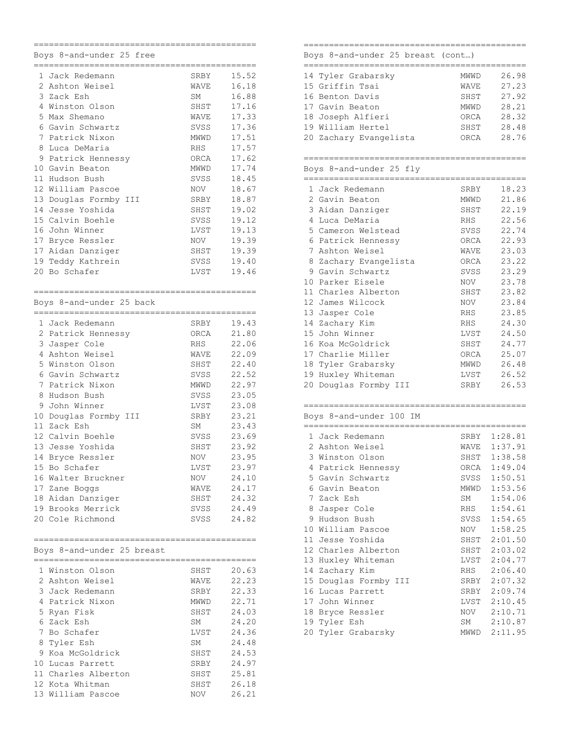|    | Boys 8-and-under 25 free                        |             |       |
|----|-------------------------------------------------|-------------|-------|
|    | .___________________________<br>1 Jack Redemann |             |       |
|    |                                                 | SRBY        | 15.52 |
|    | 2 Ashton Weisel                                 | WAVE        | 16.18 |
| 3  | Zack Esh                                        | SM          | 16.88 |
|    | 4 Winston Olson                                 | SHST        | 17.16 |
|    | 5 Max Shemano                                   | WAVE        | 17.33 |
|    | 6 Gavin Schwartz                                | SVSS        | 17.36 |
| 7  | Patrick Nixon                                   | <b>MWWD</b> | 17.51 |
| 8  | Luca DeMaria                                    | <b>RHS</b>  | 17.57 |
| 9  | Patrick Hennessy                                | ORCA        | 17.62 |
|    | 10 Gavin Beaton                                 | MWWD        | 17.74 |
|    | 11 Hudson Bush                                  |             |       |
|    |                                                 | SVSS        | 18.45 |
|    | 12 William Pascoe                               | <b>NOV</b>  | 18.67 |
| 13 | Douglas Formby III                              | SRBY        | 18.87 |
| 14 | Jesse Yoshida                                   | SHST        | 19.02 |
|    | 15 Calvin Boehle                                | SVSS        | 19.12 |
| 16 | John Winner                                     | LVST        | 19.13 |
| 17 | Bryce Ressler                                   | NOV         | 19.39 |
|    | 17 Aidan Danziger                               | SHST        | 19.39 |
|    | 19 Teddy Kathrein                               | SVSS        | 19.40 |
| 20 | Bo Schafer                                      | LVST        | 19.46 |
|    |                                                 |             |       |
|    | ===========                                     |             |       |
|    | Boys 8-and-under 25 back                        |             |       |
|    | .__________________________                     |             |       |
|    | 1 Jack Redemann                                 | SRBY        | 19.43 |
|    | 2 Patrick Hennessy                              | ORCA        | 21.80 |
|    | 3 Jasper Cole                                   | <b>RHS</b>  | 22.06 |
| 4  | Ashton Weisel                                   | WAVE        | 22.09 |
|    | 5 Winston Olson                                 | SHST        | 22.40 |
|    | 6 Gavin Schwartz                                | SVSS        | 22.52 |
| 7  | Patrick Nixon                                   | MWWD        | 22.97 |
| 8  | Hudson Bush                                     | SVSS        | 23.05 |
| 9  | John Winner                                     | LVST        | 23.08 |
|    |                                                 |             |       |
|    | 10 Douglas Formby<br>III                        | SRBY        | 23.21 |
|    | 11 Zack Esh                                     | SΜ          | 23.43 |
|    | 12 Calvin Boehle                                | SVSS        | 23.69 |
|    | 13 Jesse Yoshida                                | SHST        | 23.92 |
| 14 | Bryce Ressler                                   | NOV         | 23.95 |
|    | 15 Bo Schafer                                   | LVST        | 23.97 |
|    | 16 Walter Bruckner                              | NOV         | 24.10 |
|    | 17 Zane Boggs                                   | WAVE        | 24.17 |
|    | 18 Aidan Danziger                               | SHST        | 24.32 |
|    | 19 Brooks Merrick                               | SVSS        | 24.49 |
|    | 20 Cole Richmond                                | SVSS        | 24.82 |
|    |                                                 |             |       |
|    |                                                 |             |       |
|    | Boys 8-and-under 25 breast                      |             |       |
|    | 1 Winston Olson                                 | SHST        | 20.63 |
|    | 2 Ashton Weisel                                 | WAVE        | 22.23 |
|    | 3 Jack Redemann                                 | SRBY        | 22.33 |
|    |                                                 |             |       |
|    | 4 Patrick Nixon                                 | MWWD        | 22.71 |
|    | 5 Ryan Fisk                                     | SHST        | 24.03 |
|    | 6 Zack Esh                                      | SM          | 24.20 |
|    | 7 Bo Schafer                                    | LVST        | 24.36 |
|    | 8 Tyler Esh                                     | SM          | 24.48 |
|    | 9 Koa McGoldrick                                | SHST        | 24.53 |
|    | 10 Lucas Parrett                                | SRBY        | 24.97 |
|    | 11 Charles Alberton                             | SHST        | 25.81 |
|    | 12 Kota Whitman                                 | SHST        | 26.18 |
|    | 13 William Pascoe                               | NOV         | 26.21 |
|    |                                                 |             |       |

### ============================================ Boys 8-and-under 25 breast (cont…)

| 26.98 |
|-------|
| 27.23 |
| 27.92 |
| 28.21 |
| 28.32 |
| 28.48 |
| 28.76 |
|       |

|    | 1 Jack Redemann       | SRBY | 18.23 |
|----|-----------------------|------|-------|
|    | 2 Gavin Beaton        | MWWD | 21.86 |
| 3  | Aidan Danziger        | SHST | 22.19 |
| 4  | Luca DeMaria          | RHS  | 22.56 |
|    | 5 Cameron Welstead    | SVSS | 22.74 |
|    | 6 Patrick Hennessy    | ORCA | 22.93 |
| 7  | Ashton Weisel         | WAVE | 23.03 |
| 8  | Zachary Evangelista   | ORCA | 23.22 |
| 9  | Gavin Schwartz        | SVSS | 23.29 |
| 10 | Parker Eisele         | NOV  | 23.78 |
|    | 11 Charles Alberton   | SHST | 23.82 |
|    | 12 James Wilcock      | NOV  | 23.84 |
|    | 13 Jasper Cole        | RHS  | 23.85 |
| 14 | Zachary Kim           | RHS  | 24.30 |
|    | 15 John Winner        | LVST | 24.50 |
| 16 | Koa McGoldrick        | SHST | 24.77 |
|    | 17 Charlie Miller     | ORCA | 25.07 |
| 18 | Tyler Grabarsky       | MWWD | 26.48 |
| 19 | Huxley Whiteman       | LVST | 26.52 |
|    | 20 Douglas Formby III | SRBY | 26.53 |
|    |                       |      |       |

| Boys 8-and-under 100 IM |  |
|-------------------------|--|
|                         |  |

| 1 Jack Redemann         | SRBY | 1:28.81      |
|-------------------------|------|--------------|
| 2 Ashton Weisel         | WAVE | 1:37.91      |
| Winston Olson           | SHST | 1:38.58      |
| Patrick Hennessy        | ORCA | 1:49.04      |
| Gavin Schwartz          | SVSS | 1:50.51      |
| 6 Gavin Beaton          | MWWD | 1:53.56      |
| $7^{\circ}$<br>Zack Esh | SM   | 1:54.06      |
| Jasper Cole             |      | RHS 1:54.61  |
| Hudson Bush             |      | SVSS 1:54.65 |
| 10 William Pascoe       | NOV  | 1:58.25      |
| 11<br>Jesse Yoshida     |      | SHST 2:01.50 |
| 12 Charles Alberton     | SHST | 2:03.02      |
| Huxley Whiteman<br>13   |      | LVST 2:04.77 |
| 14 Zachary Kim          | RHS  | 2:06.40      |
| 15 Douglas Formby III   |      | SRBY 2:07.32 |
| Lucas Parrett           | SRBY | 2:09.74      |
| 17<br>John Winner       |      | LVST 2:10.45 |
| 18<br>Bryce Ressler     |      | NOV 2:10.71  |
| 19 Tyler Esh            |      | SM 2:10.87   |
| 20 Tyler Grabarsky      |      | MWWD 2:11.95 |
|                         |      |              |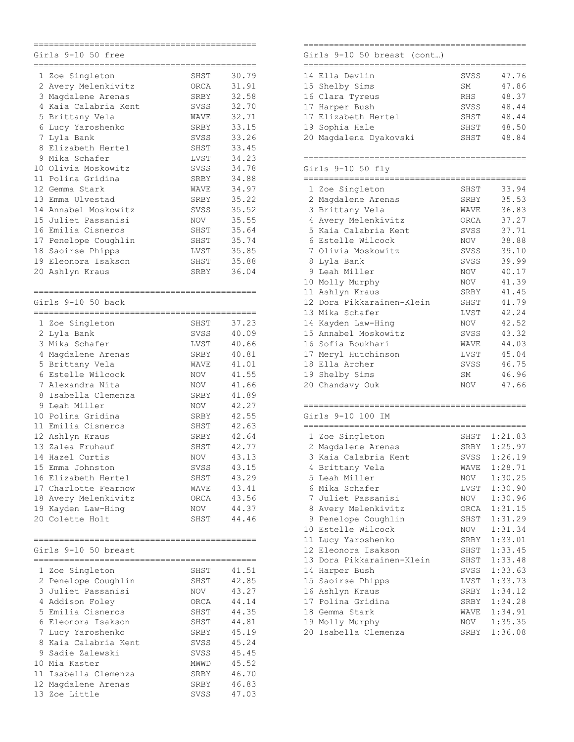|    | Girls 9-10 50 free<br>------------------- |                     |  |
|----|-------------------------------------------|---------------------|--|
| 1  | Zoe Singleton                             | 30.79<br>SHST       |  |
|    | 2 Avery Melenkivitz                       | 31.91<br>ORCA       |  |
|    | 3 Magdalene Arenas                        | 32.58<br>SRBY       |  |
|    | 4 Kaia Calabria Kent                      | SVSS<br>32.70       |  |
|    | 5 Brittany Vela                           | WAVE<br>32.71       |  |
|    | 6 Lucy Yaroshenko                         | 33.15<br>SRBY       |  |
|    | 7 Lyla Bank                               | 33.26<br>SVSS       |  |
| 8  | Elizabeth Hertel                          | 33.45<br>SHST       |  |
|    | 9 Mika Schafer                            | 34.23<br>LVST       |  |
|    | 10 Olivia Moskowitz                       | SVSS<br>34.78       |  |
|    | 11 Polina Gridina                         | 34.88<br>SRBY       |  |
|    | 12 Gemma Stark                            | 34.97<br>WAVE       |  |
|    | 13 Emma Ulvestad                          | 35.22<br>SRBY       |  |
|    | 14 Annabel Moskowitz                      | 35.52<br>SVSS       |  |
| 15 | Juliet Passanisi                          | 35.55<br><b>NOV</b> |  |
| 16 | Emilia Cisneros                           | 35.64<br>SHST       |  |
|    | 17 Penelope Coughlin                      | SHST<br>35.74       |  |
|    | 18 Saoirse Phipps                         | LVST<br>35.85       |  |
|    | 19 Eleonora Isakson                       | 35.88<br>SHST       |  |
| 20 | Ashlyn Kraus                              | 36.04<br>SRBY       |  |
|    |                                           |                     |  |
|    | Girls 9-10 50 back                        |                     |  |
|    | 1 Zoe Singleton                           | 37.23<br>SHST       |  |
|    | 2 Lyla Bank                               | 40.09<br>SVSS       |  |
|    | 3 Mika Schafer                            | LVST<br>40.66       |  |
|    | 4 Magdalene Arenas                        | 40.81<br>SRBY       |  |
|    | 5 Brittany Vela                           | WAVE<br>41.01       |  |
|    | 6 Estelle Wilcock                         | 41.55<br>NOV        |  |
|    | 7 Alexandra Nita                          | 41.66<br><b>NOV</b> |  |
| 8  | Isabella Clemenza                         | 41.89<br>SRBY       |  |
| 9  | Leah Miller                               | 42.27<br><b>NOV</b> |  |
|    | 10 Polina Gridina                         | 42.55<br>SRBY       |  |
|    | 11 Emilia Cisneros                        | 42.63<br>SHST       |  |
|    | 12 Ashlyn Kraus                           | 42.64<br>SRBY       |  |
|    | 13 Zalea Fruhauf                          | 42.77<br>SHST       |  |
|    | 14 Hazel Curtis                           | 43.13<br>NOV        |  |
|    | 15 Emma Johnston                          | 43.15<br>SVSS       |  |
|    | 16 Elizabeth Hertel                       | 43.29<br>SHST       |  |
|    | 17 Charlotte Fearnow                      | 43.41<br>WAVE       |  |
|    | 18 Avery Melenkivitz                      | 43.56<br>ORCA       |  |
|    | 19 Kayden Law-Hing                        | 44.37<br>NOV        |  |
|    | 20 Colette Holt                           | 44.46<br>SHST       |  |
|    |                                           |                     |  |
|    | Girls 9-10 50 breast                      |                     |  |
|    | 1 Zoe Singleton                           | 41.51<br>SHST       |  |
|    | 2 Penelope Coughlin                       | 42.85<br>SHST       |  |
|    | 3 Juliet Passanisi                        | 43.27<br>NOV        |  |
|    | 4 Addison Foley                           | 44.14<br>ORCA       |  |
|    | 5 Emilia Cisneros                         | 44.35<br>SHST       |  |
|    | 6 Eleonora Isakson                        | 44.81<br>SHST       |  |
|    | 7 Lucy Yaroshenko                         | 45.19<br>SRBY       |  |
|    | 8 Kaia Calabria Kent                      | 45.24<br>SVSS       |  |
|    | 9 Sadie Zalewski                          | 45.45<br>SVSS       |  |
|    | 10 Mia Kaster                             | 45.52<br>MWWD       |  |
|    | 11 Isabella Clemenza                      | 46.70<br>SRBY       |  |
|    | 12 Magdalene Arenas                       | 46.83<br>SRBY       |  |
|    | 13 Zoe Little                             | 47.03<br>SVSS       |  |

### ============================================ Girls 9-10 50 breast (cont…)

| 14 Ella Devlin         | <b>SVSS</b> | 47.76 |
|------------------------|-------------|-------|
| 15 Shelby Sims         | <b>SM</b>   | 47.86 |
| 16 Clara Tyreus        | <b>RHS</b>  | 48.37 |
| 17 Harper Bush         | SVSS        | 48.44 |
| 17 Elizabeth Hertel    | SHST        | 48.44 |
| 19 Sophia Hale         | SHST        | 48.50 |
| 20 Magdalena Dyakovski | SHST        | 48.84 |
|                        |             |       |

# ============================================

| Girls $9-10$ 50 fly       |          |       |
|---------------------------|----------|-------|
|                           |          |       |
| 1 Zoe Singleton           | SHST     | 33.94 |
| 2 Magdalene Arenas        | SRBY     | 35.53 |
| 3 Brittany Vela           | WAVE     | 36.83 |
| 4 Avery Melenkivitz       | ORCA     | 37.27 |
| 5 Kaia Calabria Kent      | SVSS     | 37.71 |
| Estelle Wilcock<br>6      | NOV 1999 | 38.88 |
| 7 Olivia Moskowitz        | SVSS     | 39.10 |
| 8 Lyla Bank               | SVSS     | 39.99 |
| 9 Leah Miller             | NOV      | 40.17 |
| 10 Molly Murphy           | NOV      | 41.39 |
| Ashlyn Kraus<br>11        | SRBY     | 41.45 |
| 12 Dora Pikkarainen-Klein | SHST     | 41.79 |
| 13 Mika Schafer           | LVST     | 42.24 |
| 14 Kayden Law-Hing        | NOV      | 42.52 |
| 15 Annabel Moskowitz      | SVSS     | 43.32 |
| 16 Sofia Boukhari         | WAVE     | 44.03 |
| 17 Meryl Hutchinson       | LVST     | 45.04 |
| 18 Ella Archer            | SVSS     | 46.75 |
| 19 Shelby Sims            | SM       | 46.96 |
| 20 Chandavy Ouk           | NOV      | 47.66 |
|                           |          |       |

|                 | 1 Zoe Singleton           | SHST | 1:21.83 |
|-----------------|---------------------------|------|---------|
| 2               | Magdalene Arenas          | SRBY | 1:25.97 |
| 3               | Kaia Calabria Kent        | SVSS | 1:26.19 |
| 4               | Brittany Vela             | WAVE | 1:28.71 |
|                 | 5 Leah Miller             | NOV  | 1:30.25 |
| 6               | Mika Schafer              | LVST | 1:30.90 |
|                 | 7 Juliet Passanisi        | NOV  | 1:30.96 |
| 8               | Avery Melenkivitz         | ORCA | 1:31.15 |
| 9               | Penelope Coughlin         | SHST | 1:31.29 |
| 10              | Estelle Wilcock           | NOV  | 1:31.34 |
| 11              | Lucy Yaroshenko           | SRBY | 1:33.01 |
| 12 <sup>°</sup> | Eleonora Isakson          | SHST | 1:33.45 |
|                 | 13 Dora Pikkarainen-Klein | SHST | 1:33.48 |
| 14              | Harper Bush               | SVSS | 1:33.63 |
|                 | 15 Saoirse Phipps         | LVST | 1:33.73 |
| 16              | Ashlyn Kraus              | SRBY | 1:34.12 |
| 17              | Polina Gridina            | SRBY | 1:34.28 |
| 18              | Gemma Stark               | WAVE | 1:34.91 |
| 19              | Molly Murphy              | NOV  | 1:35.35 |
|                 | 20 Isabella Clemenza      | SRBY | 1:36.08 |
|                 |                           |      |         |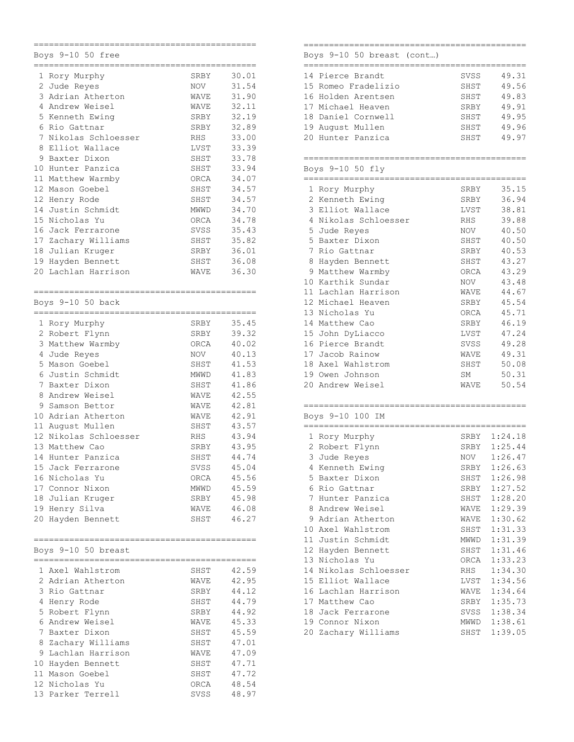|    | Boys 9-10 50<br>free  |            |       |
|----|-----------------------|------------|-------|
|    | 1 Rory Murphy         | SRBY       | 30.01 |
|    | 2 Jude Reyes          | NOV        | 31.54 |
| 3  |                       |            |       |
|    | Adrian Atherton       | WAVE       | 31.90 |
| 4  | Andrew Weisel         | WAVE       | 32.11 |
|    | 5 Kenneth Ewing       | SRBY       | 32.19 |
|    | 6 Rio Gattnar         | SRBY       | 32.89 |
| 7  | Nikolas Schloesser    | <b>RHS</b> | 33.00 |
| 8  | Elliot Wallace        | LVST       | 33.39 |
| 9  | Baxter Dixon          | SHST       | 33.78 |
|    | 10 Hunter Panzica     | SHST       | 33.94 |
|    | 11 Matthew Warmby     | ORCA       | 34.07 |
|    | 12 Mason Goebel       | SHST       | 34.57 |
|    | 12 Henry Rode         | SHST       | 34.57 |
| 14 | Justin Schmidt        | MWWD       | 34.70 |
| 15 | Nicholas Yu           | ORCA       | 34.78 |
| 16 | Jack Ferrarone        | SVSS       | 35.43 |
| 17 | Zachary Williams      | SHST       | 35.82 |
| 18 | Julian Kruger         | SRBY       | 36.01 |
| 19 | Hayden Bennett        | SHST       | 36.08 |
| 20 | Lachlan Harrison      | WAVE       | 36.30 |
|    |                       |            |       |
|    |                       |            |       |
|    | Boys 9-10 50 back     |            |       |
|    | 1 Rory Murphy         | SRBY       | 35.45 |
|    | 2 Robert Flynn        | SRBY       | 39.32 |
| 3  | Matthew Warmby        | ORCA       | 40.02 |
| 4  | Jude Reyes            | NOV        | 40.13 |
|    | 5 Mason Goebel        |            | 41.53 |
| 6. | Justin Schmidt        | SHST       | 41.83 |
| 7  | Baxter Dixon          | MWWD       | 41.86 |
|    |                       | SHST       |       |
| 8  | Andrew Weisel         | WAVE       | 42.55 |
| 9  | Samson Bettor         | WAVE       | 42.81 |
|    | 10 Adrian Atherton    | WAVE       | 42.91 |
|    | 11 August Mullen      | SHST       | 43.57 |
|    | 12 Nikolas Schloesser | <b>RHS</b> | 43.94 |
|    | 13 Matthew Cao        | SRBY       | 43.95 |
| 14 | Hunter Panzica        | SHST       | 44.74 |
|    | 15 Jack Ferrarone     | SVSS       | 45.04 |
|    | 16 Nicholas Yu        | ORCA       | 45.56 |
|    | 17 Connor Nixon       | MWWD       | 45.59 |
|    | 18 Julian Kruger      | SRBY       | 45.98 |
|    | 19 Henry Silva        | WAVE       | 46.08 |
|    | 20 Hayden Bennett     | SHST       | 46.27 |
|    |                       |            |       |
|    | Boys 9-10 50 breast   |            |       |
|    |                       |            |       |
|    | 1 Axel Wahlstrom      | SHST       | 42.59 |
|    | 2 Adrian Atherton     | WAVE       | 42.95 |
|    | 3 Rio Gattnar         | SRBY       | 44.12 |
|    | 4 Henry Rode          | SHST       | 44.79 |
|    | 5 Robert Flynn        | SRBY       | 44.92 |
|    | 6 Andrew Weisel       | WAVE       | 45.33 |
|    | 7 Baxter Dixon        | SHST       | 45.59 |
|    | 8 Zachary Williams    | SHST       | 47.01 |
|    | 9 Lachlan Harrison    | WAVE       | 47.09 |
|    | 10 Hayden Bennett     | SHST       | 47.71 |
|    | 11 Mason Goebel       |            | 47.72 |
|    |                       | SHST       |       |
|    | 12 Nicholas Yu        | ORCA       | 48.54 |
|    | 13 Parker Terrell     | SVSS       | 48.97 |

## ============================================ Boys 9-10 50 breast (cont…) ============================================ 14 Pierce Brandt SVSS 49.31 15 Romeo Fradelizio SHST 49.56 16 Holden Arentsen SHST 49.83 17 Michael Heaven SRBY 49.91<br>18 Daniel Cornwell SHST 49.95 18 Daniel Cornwell SHST 49.95 19 August Mullen SHST 49.96 20 Hunter Panzica SHST 49.97 ============================================ Boys 9-10 50 fly ============================================ 1 Rory Murphy 2 Kenneth Ewing SRBY 36.94 3 Elliot Wallace LVST 38.81 4 Nikolas Schloesser RHS 39.88 5 Jude Reyes NOV 40.50 5 Baxter Dixon SHST 40.50 7 Rio Gattnar SRBY 40.53 8 Hayden Bennett SHST 43.27 9 Matthew Warmby ORCA 43.29 10 Karthik Sundar NOV 43.48 11 Lachlan Harrison WAVE 44.67 12 Michael Heaven SRBY 45.54 13 Nicholas Yu ORCA 45.71 14 Matthew Cao SRBY 46.19 15 John DyLiacco LVST 47.24 16 Pierce Brandt SVSS 49.28 17 Jacob Rainow **WAVE** 49.31<br>18 Axel Wahlstrom SHST 50.08 18 Axel Wahlstrom SHST 50.08<br>19 Owen Johnson SM 50.31 19 Owen Johnson SM 50.31<br>20 Andrew Weisel WAVE 50.54 20 Andrew Weisel ============================================ Boys 9-10 100 IM ============================================ 1 Rory Murphy SRBY 1:24.18 2 Robert Flynn SRBY 1:25.44<br>3 Jude Reyes NOV 1:26.47 3 Jude Reyes NOV 1:26.47 4 Kenneth Ewing SRBY 1:26.63 5 Baxter Dixon SHST 1:26.98 6 Rio Gattnar SRBY 1:27.52 7 Hunter Panzica SHST 1:28.20 8 Andrew Weisel MAVE 1:29.39

9 Adrian Atherton WAVE 1:30.62 10 Axel Wahlstrom SHST 1:31.33 11 Justin Schmidt MWWD 1:31.39 12 Hayden Bennett SHST 1:31.46 13 Nicholas Yu ORCA 1:33.23 14 Nikolas Schloesser<br>14 Nikolas Schloesser<br>15 Elliot Wallace<br>1.34.56 11 November 2016<br>15 Elliot Wallace 10 LVST 1:34.56<br>16 Lachlan Harrison 1:34.64 16 Lachlan Harrison WAVE 1:34.64 17 Matthew Cao SRBY 1:35.73 18 Jack Ferrarone SVSS 1:38.34 19 Connor Nixon MWWD 1:38.61 20 Zachary Williams SHST 1:39.05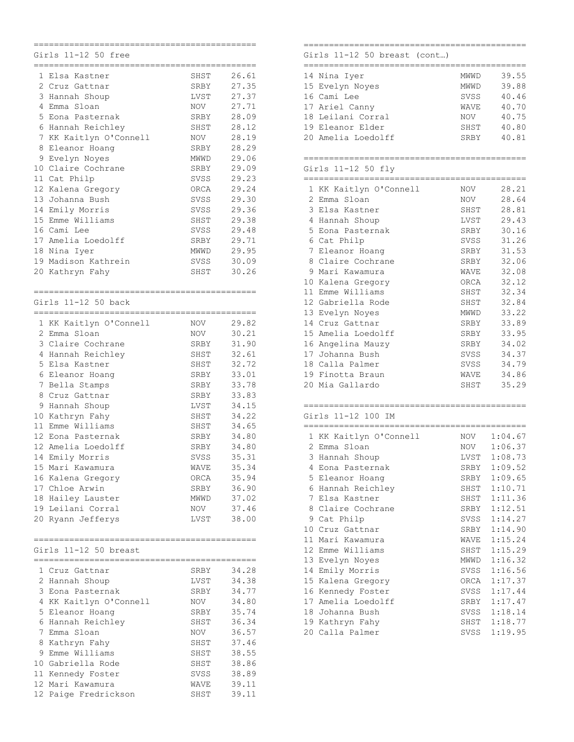|    | 11-12 50 free<br>Girls<br>==================<br>____________________________ |      |          |
|----|------------------------------------------------------------------------------|------|----------|
|    | 1 Elsa Kastner                                                               | SHST | 26.61    |
|    | 2 Cruz Gattnar                                                               | SRBY | 27.35    |
|    | 3 Hannah Shoup                                                               | LVST | 27.37    |
| 4  | Emma Sloan                                                                   | NOV  | 27.71    |
| 5  | Eona Pasternak                                                               | SRBY | 28.09    |
|    | 6 Hannah Reichley                                                            | SHST | 28.12    |
|    | 7 KK Kaitlyn O'Connell                                                       | NOV  | 28.19    |
|    | 8 Eleanor Hoang                                                              | SRBY | 28.29    |
|    | 9 Evelyn Noyes                                                               | MWWD | 29.06    |
|    | 10 Claire Cochrane                                                           | SRBY | 29.09    |
|    | 11 Cat Philp                                                                 | SVSS | 29.23    |
|    | 12 Kalena Gregory                                                            | ORCA | 29.24    |
|    | 13 Johanna Bush                                                              | SVSS | 29.30    |
|    | 14 Emily Morris                                                              | SVSS | 29.36    |
|    | 15 Emme Williams                                                             | SHST | 29.38    |
|    | 16 Cami Lee                                                                  | SVSS | 29.48    |
|    | 17 Amelia Loedolff                                                           | SRBY | 29.71    |
|    | 18 Nina Iyer                                                                 | MWWD | 29.95    |
|    | 19 Madison Kathrein                                                          | SVSS | 30.09    |
|    | 20 Kathryn Fahy                                                              |      | 30.26    |
|    |                                                                              | SHST |          |
|    |                                                                              |      |          |
|    | Girls 11-12 50 back<br>=======================                               |      | ======== |
|    | 1 KK Kaitlyn O'Connell                                                       | NOV  | 29.82    |
|    | 2 Emma Sloan                                                                 | NOV  | 30.21    |
|    | 3 Claire Cochrane                                                            | SRBY | 31.90    |
|    | 4 Hannah Reichley                                                            | SHST | 32.61    |
|    | 5 Elsa Kastner                                                               | SHST | 32.72    |
|    | 6 Eleanor Hoang                                                              | SRBY | 33.01    |
|    | 7 Bella Stamps                                                               | SRBY | 33.78    |
|    | 8 Cruz Gattnar                                                               | SRBY | 33.83    |
| 9  | Hannah Shoup                                                                 | LVST | 34.15    |
|    | 10 Kathryn Fahy                                                              | SHST | 34.22    |
|    | 11 Emme Williams                                                             | SHST | 34.65    |
|    | 12 Eona Pasternak                                                            | SRBY | 34.80    |
|    | 12 Amelia Loedolff                                                           | SRBY | 34.80    |
| 14 | Emily Morris                                                                 | SVSS | 35.31    |
|    | 15 Mari Kawamura                                                             | WAVE | 35.34    |
|    | 16 Kalena Gregory                                                            | ORCA | 35.94    |
|    | 17 Chloe Arwin                                                               | SRBY | 36.90    |
|    | 18 Hailey Lauster                                                            | MWWD | 37.02    |
|    | 19 Leilani Corral                                                            | NOV  | 37.46    |
|    | 20 Ryann Jefferys                                                            | LVST | 38.00    |
|    |                                                                              |      |          |
|    | Girls 11-12 50 breast                                                        |      |          |
|    | 1 Cruz Gattnar                                                               | SRBY | 34.28    |
|    | 2 Hannah Shoup                                                               | LVST | 34.38    |
|    | 3 Eona Pasternak                                                             | SRBY | 34.77    |
|    | 4 KK Kaitlyn O'Connell                                                       | NOV  | 34.80    |
|    | 5 Eleanor Hoang                                                              | SRBY | 35.74    |
|    | 6 Hannah Reichley                                                            | SHST | 36.34    |
|    | 7 Emma Sloan                                                                 | NOV  | 36.57    |
|    | 8 Kathryn Fahy                                                               | SHST | 37.46    |
| 9. | Emme Williams                                                                | SHST | 38.55    |
|    | 10 Gabriella Rode                                                            | SHST | 38.86    |
|    | 11 Kennedy Foster                                                            | SVSS | 38.89    |
|    | 12 Mari Kawamura                                                             | WAVE | 39.11    |
|    | 12 Paige Fredrickson                                                         | SHST | 39.11    |
|    |                                                                              |      |          |

# Girls 11-12 50 breast (cont…)

| 14 Nina Iyer       | <b>MWWD</b> | 39.55 |
|--------------------|-------------|-------|
| 15 Evelyn Noyes    | <b>MWWD</b> | 39.88 |
| 16 Cami Lee        | SVSS        | 40.46 |
| 17 Ariel Canny     | <b>WAVE</b> | 40.70 |
| 18 Leilani Corral  | <b>NOV</b>  | 40.75 |
| 19 Eleanor Elder   | SHST        | 40.80 |
| 20 Amelia Loedolff | SRBY        | 40.81 |
|                    |             |       |

============================================

### ============================================ Girls 11-12 50 fly

|    | 1 KK Kaitlyn O'Connell | NOV  | 28.21 |
|----|------------------------|------|-------|
| 2  | Emma Sloan             | NOV  | 28.64 |
| 3  | Elsa Kastner           | SHST | 28.81 |
| 4  | Hannah Shoup           | LVST | 29.43 |
| 5. | Eona Pasternak         | SRBY | 30.16 |
| 6  | Cat Philp              | SVSS | 31.26 |
|    | 7 Eleanor Hoanq        | SRBY | 31.53 |
|    | 8 Claire Cochrane      | SRBY | 32.06 |
| 9  | Mari Kawamura          | WAVE | 32.08 |
| 10 | Kalena Gregory         | ORCA | 32.12 |
| 11 | Emme Williams          | SHST | 32.34 |
|    | 12 Gabriella Rode      | SHST | 32.84 |
| 13 | Evelyn Noyes           | MWWD | 33.22 |
| 14 | Cruz Gattnar           | SRBY | 33.89 |
|    | 15 Amelia Loedolff     | SRBY | 33.95 |
| 16 | Angelina Mauzy         | SRBY | 34.02 |
| 17 | Johanna Bush           | SVSS | 34.37 |
| 18 | Calla Palmer           | SVSS | 34.79 |
| 19 | Finotta Braun          | WAVE | 34.86 |
|    | 20 Mia Gallardo        | SHST | 35.29 |
|    |                        |      |       |

### ============================================ Girls 11-12 100 IM

| 51 T I S |  | - 11 – 12 - 100 | $\mathbf{N}$ |
|----------|--|-----------------|--------------|
|          |  |                 |              |

|                 |                        |      | =============== |
|-----------------|------------------------|------|-----------------|
|                 | 1 KK Kaitlyn O'Connell | NOV  | 1:04.67         |
| 2               | Emma Sloan             | NOV  | 1:06.37         |
|                 | 3 Hannah Shoup         | LVST | 1:08.73         |
| 4               | Eona Pasternak         | SRBY | 1:09.52         |
|                 | 5 Eleanor Hoanq        | SRBY | 1:09.65         |
|                 | 6 Hannah Reichley      | SHST | 1:10.71         |
|                 | 7 Elsa Kastner         | SHST | 1:11.36         |
|                 | 8 Claire Cochrane      | SRBY | 1:12.51         |
|                 | 9 Cat Philp            | SVSS | 1:14.27         |
| 10              | Cruz Gattnar           | SRBY | 1:14.90         |
| 11              | Mari Kawamura          | WAVE | 1:15.24         |
| 12 <sup>1</sup> | Emme Williams          | SHST | 1:15.29         |
|                 | 13 Evelyn Noyes        | MWWD | 1:16.32         |
| 14              | Emily Morris           | SVSS | 1:16.56         |
|                 | 15 Kalena Gregory      | ORCA | 1:17.37         |
|                 | 16 Kennedy Foster      | SVSS | 1:17.44         |
| 17              | Amelia Loedolff        | SRBY | 1:17.47         |
|                 | 18 Johanna Bush        | SVSS | 1:18.14         |
| 19              | Kathryn Fahy           | SHST | 1:18.77         |
|                 | 20 Calla Palmer        | SVSS | 1:19.95         |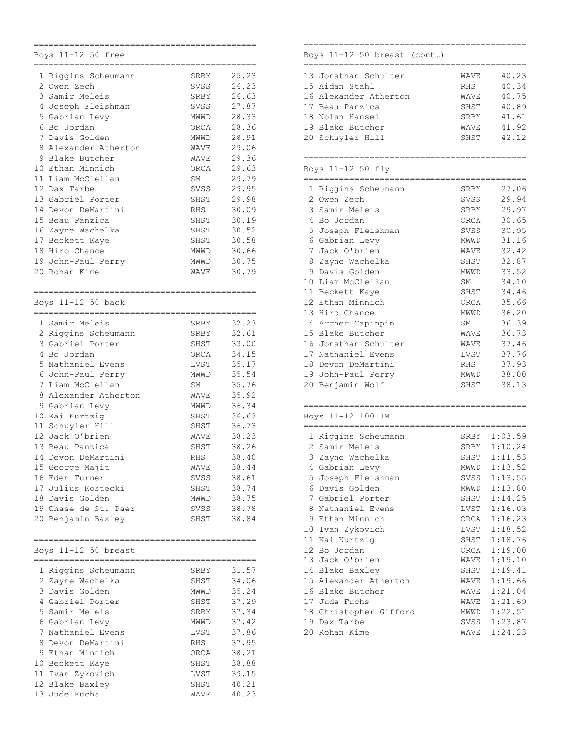|    | Boys 11-12 50 free<br>======================= |                   |                |
|----|-----------------------------------------------|-------------------|----------------|
| 1  | Riggins Scheumann                             | SRBY              | 25.23          |
|    | 2 Owen Zech                                   | SVSS              | 26.23          |
|    | 3 Samir Meleis                                | SRBY              | 26.63          |
|    | 4 Joseph Fleishman                            | SVSS              | 27.87          |
|    | 5 Gabrian Levy                                | MWWD              | 28.33          |
|    | 6 Bo Jordan                                   | ORCA              | 28.36          |
|    | 7 Davis Golden                                | MWWD              | 28.91          |
|    | 8 Alexander Atherton                          | WAVE              | 29.06          |
| 9  | Blake Butcher                                 | WAVE              | 29.36          |
|    | 10 Ethan Minnich                              | ORCA              | 29.63          |
|    | 11 Liam McClellan                             | SΜ                | 29.79          |
|    | 12 Dax Tarbe                                  | SVSS              | 29.95          |
|    | 13 Gabriel Porter                             | SHST              | 29.98          |
| 14 | Devon DeMartini                               | RHS               | 30.09          |
|    | 15 Beau Panzica                               | SHST              | 30.19          |
|    | 16 Zayne Wachelka                             | SHST              | 30.52          |
|    | 17 Beckett Kaye                               | SHST              | 30.58          |
|    | 18 Hiro Chance                                | MWWD              | 30.66          |
|    | 19 John-Paul Perry                            | MWWD              | 30.75          |
|    | 20 Rohan Kime                                 | WAVE              | 30.79          |
|    |                                               |                   |                |
|    | Boys 11-12 50 back                            |                   |                |
|    | ____________________<br>1 Samir Meleis        |                   | 32.23          |
|    |                                               | SRBY              | 32.61          |
|    | 2 Riggins Scheumann<br>3 Gabriel Porter       | SRBY              |                |
|    | 4 Bo Jordan                                   | SHST              | 33.00          |
|    | 5 Nathaniel Evens                             | ORCA              | 34.15          |
|    |                                               | LVST              | 35.17<br>35.54 |
|    | 6 John-Paul Perry<br>7 Liam McClellan         | MWWD<br><b>SM</b> | 35.76          |
|    | 8 Alexander Atherton                          |                   | 35.92          |
|    |                                               | WAVE              |                |
|    | 9 Gabrian Levy                                | MWWD              | 36.34          |
|    | 10 Kai Kurtzig                                | SHST              | 36.63          |
|    | 11 Schuyler Hill                              | SHST              | 36.73          |
|    | 12 Jack O'brien<br>13 Beau Panzica            | WAVE              | 38.23<br>38.26 |
| 14 | Devon DeMartini                               | SHST              |                |
|    |                                               | RHS               | 38.40<br>38.44 |
|    | 15 George Majit                               | WAVE              |                |
|    | 16 Eden Turner                                | SVSS              | 38.61          |
|    | 17 Julius Kostecki                            | SHST              | 38.74          |
|    | 18 Davis Golden<br>19 Chase de St. Paer       | MWWD              | 38.75<br>38.78 |
|    | 20 Benjamin Baxley                            | SVSS<br>SHST      | 38.84          |
|    |                                               |                   |                |
|    | Boys 11-12 50 breast                          |                   |                |
|    | 1 Riggins Scheumann                           | SRBY              | 31.57          |
|    | 2 Zayne Wachelka                              | SHST              | 34.06          |
|    | 3 Davis Golden                                | MWWD              | 35.24          |
|    | 4 Gabriel Porter                              | SHST              | 37.29          |
|    | 5 Samir Meleis                                | SRBY              | 37.34          |
|    | 6 Gabrian Levy                                | MWWD              | 37.42          |
|    | 7 Nathaniel Evens                             | LVST              | 37.86          |
|    | 8 Devon DeMartini                             | RHS               | 37.95          |
|    | 9 Ethan Minnich                               | ORCA              | 38.21          |
|    | 10 Beckett Kaye                               | SHST              | 38.88          |
|    | 11 Ivan Zykovich                              | LVST              | 39.15          |
|    | 12 Blake Baxley                               | SHST              | 40.21          |
|    | 13 Jude Fuchs                                 | WAVE              | 40.23          |
|    |                                               |                   |                |

### ============================================ Boys 11-12 50 breast (cont…)

| 13 Jonathan Schulter  | WAVE       | 40.23 |
|-----------------------|------------|-------|
| 15 Aidan Stahl        | <b>RHS</b> | 40.34 |
| 16 Alexander Atherton | WAVE       | 40.75 |
| 17 Beau Panzica       | SHST       | 40.89 |
| 18 Nolan Hansel       | SRBY       | 41.61 |
| 19 Blake Butcher      | WAVE       | 41.92 |
| 20 Schuyler Hill      | SHST       | 42.12 |

## ============================================ Boys 11-12 50 fly

|                 | 1 Riggins Scheumann  | SRBY | 27.06 |
|-----------------|----------------------|------|-------|
| 2               | Owen Zech            | SVSS | 29.94 |
| 3               | Samir Meleis         | SRBY | 29.97 |
| 4               | Bo Jordan            | ORCA | 30.65 |
| 5               | Joseph Fleishman     | SVSS | 30.95 |
| 6               | Gabrian Levy         | MWWD | 31.16 |
| 7               | Jack O'brien         | WAVE | 32.42 |
| 8               | Zayne Wachelka       | SHST | 32.87 |
| 9               | Davis Golden         | MWWD | 33.52 |
| 10              | Liam McClellan       | SM   | 34.10 |
| 11              | Beckett Kaye         | SHST | 34.46 |
| 12 <sup>1</sup> | Ethan Minnich        | ORCA | 35.66 |
| 13              | Hiro Chance          | MWWD | 36.20 |
| 14              | Archer Capinpin      | SM   | 36.39 |
|                 | 15 Blake Butcher     | WAVE | 36.73 |
|                 | 16 Jonathan Schulter | WAVE | 37.46 |
| 17              | Nathaniel Evens      | LVST | 37.76 |
|                 | 18 Devon DeMartini   | RHS  | 37.93 |
| 19              | John-Paul Perry      | MWWD | 38.00 |
| 20              | Benjamin Wolf        | SHST | 38.13 |

| 1  | Riggins Scheumann      | SRBY | 1:03.59 |
|----|------------------------|------|---------|
| 2  | Samir Meleis           | SRBY | 1:10.24 |
| 3  | Zayne Wachelka         | SHST | 1:11.53 |
| 4  | Gabrian Levy           | MWWD | 1:13.52 |
|    | 5 Joseph Fleishman     | SVSS | 1:13.55 |
|    | 6 Davis Golden         | MWWD | 1:13.80 |
|    | 7 Gabriel Porter       | SHST | 1:14.25 |
| 8  | Nathaniel Evens        | LVST | 1:16.03 |
|    | 9 Ethan Minnich        | ORCA | 1:16.23 |
| 10 | Ivan Zykovich          | LVST | 1:18.52 |
|    | 11 Kai Kurtzig         | SHST | 1:18.76 |
|    | 12 Bo Jordan           | ORCA | 1:19.00 |
| 13 | Jack O'brien           | WAVE | 1:19.10 |
|    | 14 Blake Baxley        | SHST | 1:19.41 |
|    | 15 Alexander Atherton  | WAVE | 1:19.66 |
|    | 16 Blake Butcher       | WAVE | 1:21.04 |
| 17 | Jude Fuchs             | WAVE | 1:21.69 |
|    | 18 Christopher Gifford | MWWD | 1:22.51 |
| 19 | Dax Tarbe              | SVSS | 1:23.87 |
| 20 | Rohan Kime             | WAVE | 1:24.23 |
|    |                        |      |         |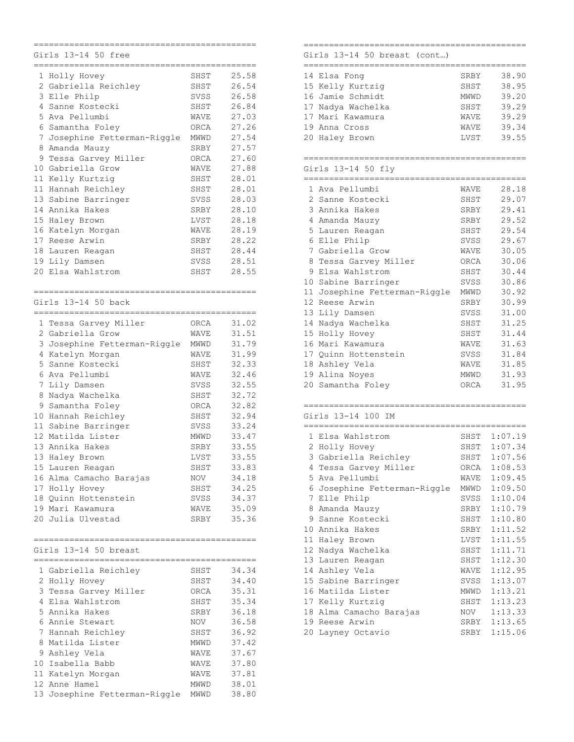|                | Girls 13-14 50 free                               |      |       |
|----------------|---------------------------------------------------|------|-------|
|                | _____________________                             |      |       |
|                | 1 Holly Hovey                                     | SHST | 25.58 |
|                | 2 Gabriella Reichley                              | SHST | 26.54 |
| 3              | Elle Philp                                        | SVSS | 26.58 |
| 4              | Sanne Kostecki                                    | SHST | 26.84 |
| 5              | Ava Pellumbi                                      | WAVE | 27.03 |
| 6.             | Samantha Foley                                    | ORCA | 27.26 |
| 7              | Josephine Fetterman-Riggle                        | MWWD | 27.54 |
| 8              | Amanda Mauzy                                      | SRBY | 27.57 |
| 9              | Tessa Garvey Miller                               | ORCA | 27.60 |
| 10             | Gabriella Grow                                    | WAVE | 27.88 |
| 11             | Kelly Kurtzig                                     | SHST | 28.01 |
|                | 11 Hannah Reichley                                | SHST | 28.01 |
| 13             | Sabine Barringer                                  | SVSS | 28.03 |
| 14             | Annika Hakes                                      | SRBY | 28.10 |
| 15             | Haley Brown                                       | LVST | 28.18 |
| 16             | Katelyn Morgan                                    | WAVE | 28.19 |
| 17             | Reese Arwin                                       | SRBY | 28.22 |
| 18             |                                                   | SHST | 28.44 |
|                | Lauren Reagan                                     | SVSS |       |
|                | 19 Lily Damsen                                    |      | 28.51 |
| 20             | Elsa Wahlstrom                                    | SHST | 28.55 |
|                |                                                   |      |       |
|                | --------------------                              |      |       |
|                | Girls 13-14 50 back<br>========================== |      |       |
|                |                                                   |      |       |
|                | 1 Tessa Garvey Miller                             | ORCA | 31.02 |
| $\overline{2}$ | Gabriella Grow                                    | WAVE | 31.51 |
| 3              | Josephine Fetterman-Riggle                        | MWWD | 31.79 |
| 4              | Katelyn Morgan                                    | WAVE | 31.99 |
| 5              | Sanne Kostecki                                    | SHST | 32.33 |
| 6              | Ava Pellumbi                                      | WAVE | 32.46 |
| 7              | Lily Damsen                                       | SVSS | 32.55 |
| 8              | Nadya Wachelka                                    | SHST | 32.72 |
| 9              | Samantha Foley                                    | ORCA | 32.82 |
|                | 10 Hannah Reichley                                | SHST | 32.94 |
|                | 11 Sabine Barringer                               | SVSS | 33.24 |
|                | 12 Matilda Lister                                 | MWWD | 33.47 |
|                | 13 Annika Hakes                                   | SRBY | 33.55 |
| 13             | Haley Brown                                       | LVST | 33.55 |
|                | 15 Lauren Reagan                                  | SHST | 33.83 |
|                | 16 Alma Camacho Barajas                           | NOV  | 34.18 |
|                | 17 Holly Hovey                                    | SHST | 34.25 |
|                | 18 Quinn Hottenstein                              | SVSS | 34.37 |
|                | 19 Mari Kawamura                                  | WAVE | 35.09 |
|                | 20 Julia Ulvestad                                 | SRBY | 35.36 |
|                |                                                   |      |       |
|                |                                                   |      |       |
|                | Girls 13-14 50 breast                             |      |       |
|                |                                                   |      |       |
|                | 1 Gabriella Reichley                              | SHST | 34.34 |
|                | 2 Holly Hovey                                     | SHST | 34.40 |
|                | 3 Tessa Garvey Miller                             | ORCA | 35.31 |
|                | 4 Elsa Wahlstrom                                  | SHST | 35.34 |
|                | 5 Annika Hakes                                    | SRBY | 36.18 |
|                | 6 Annie Stewart                                   | NOV  | 36.58 |
|                | 7 Hannah Reichley                                 |      | 36.92 |
|                | Matilda Lister                                    | SHST |       |
| 8              |                                                   | MWWD | 37.42 |
| 9              | Ashley Vela                                       | WAVE | 37.67 |
|                | 10 Isabella Babb                                  | WAVE | 37.80 |
|                | 11 Katelyn Morgan                                 | WAVE | 37.81 |
|                | 12 Anne Hamel                                     | MWWD | 38.01 |
|                | 13 Josephine Fetterman-Riggle                     | MWWD | 38.80 |

### ============================================ Girls 13-14 50 breast (cont…)

| 14 Elsa Fong      | SRBY        | 38.90 |
|-------------------|-------------|-------|
| 15 Kelly Kurtzig  | SHST        | 38.95 |
| 16 Jamie Schmidt  | <b>MWWD</b> | 39.20 |
| 17 Nadya Wachelka | SHST        | 39.29 |
| 17 Mari Kawamura  | <b>WAVE</b> | 39.29 |
| 19 Anna Cross     | <b>WAVE</b> | 39.34 |
| 20 Haley Brown    | LVST        | 39.55 |
|                   |             |       |

## ============================================ Girls 13-14 50 fly

|    | 1 Ava Pellumbi             | WAVE | 28.18 |
|----|----------------------------|------|-------|
|    | 2 Sanne Kostecki           | SHST | 29.07 |
|    | 3 Annika Hakes             | SRBY | 29.41 |
|    | 4 Amanda Mauzy             | SRBY | 29.52 |
|    | 5 Lauren Reagan            | SHST | 29.54 |
|    | 6 Elle Philp               | SVSS | 29.67 |
|    | 7 Gabriella Grow           | WAVE | 30.05 |
|    | 8 Tessa Garvey Miller      | ORCA | 30.06 |
|    | 9 Elsa Wahlstrom           | SHST | 30.44 |
|    | 10 Sabine Barringer        | SVSS | 30.86 |
| 11 | Josephine Fetterman-Riggle | MWWD | 30.92 |
|    | 12 Reese Arwin             | SRBY | 30.99 |
|    | 13 Lily Damsen             | SVSS | 31.00 |
|    | 14 Nadya Wachelka          | SHST | 31.25 |
|    | 15 Holly Hovey             | SHST | 31.44 |
|    | 16 Mari Kawamura           | WAVE | 31.63 |
|    | 17 Quinn Hottenstein       | SVSS | 31.84 |
|    | 18 Ashley Vela             | WAVE | 31.85 |
|    | 19 Alina Noyes             | MWWD | 31.93 |
|    | 20 Samantha Foley          | ORCA | 31.95 |
|    |                            |      |       |

### ============================================ Girls 13-14 100 IM

|    | 1 Elsa Wahlstrom             | SHST | 1:07.19 |
|----|------------------------------|------|---------|
|    | 2 Holly Hovey                | SHST | 1:07.34 |
|    | 3 Gabriella Reichley         | SHST | 1:07.56 |
| 4  | Tessa Garvey Miller          | ORCA | 1:08.53 |
|    | 5 Ava Pellumbi               | WAVE | 1:09.45 |
|    | 6 Josephine Fetterman-Riggle | MWWD | 1:09.50 |
|    | 7 Elle Philp                 | SVSS | 1:10.04 |
|    | 8 Amanda Mauzy               | SRBY | 1:10.79 |
|    | 9 Sanne Kostecki             | SHST | 1:10.80 |
|    | 10 Annika Hakes              | SRBY | 1:11.52 |
|    | 11 Haley Brown               | LVST | 1:11.55 |
| 12 | Nadya Wachelka               | SHST | 1:11.71 |
|    | 13 Lauren Reagan             | SHST | 1:12.30 |
|    | 14 Ashley Vela               | WAVE | 1:12.95 |
|    | 15 Sabine Barringer          | SVSS | 1:13.07 |
| 16 | Matilda Lister               | MWWD | 1:13.21 |
|    | 17 Kelly Kurtzig             | SHST | 1:13.23 |
| 18 | Alma Camacho Barajas         | NOV  | 1:13.33 |
| 19 | Reese Arwin                  | SRBY | 1:13.65 |
|    | 20 Layney Octavio            | SRBY | 1:15.06 |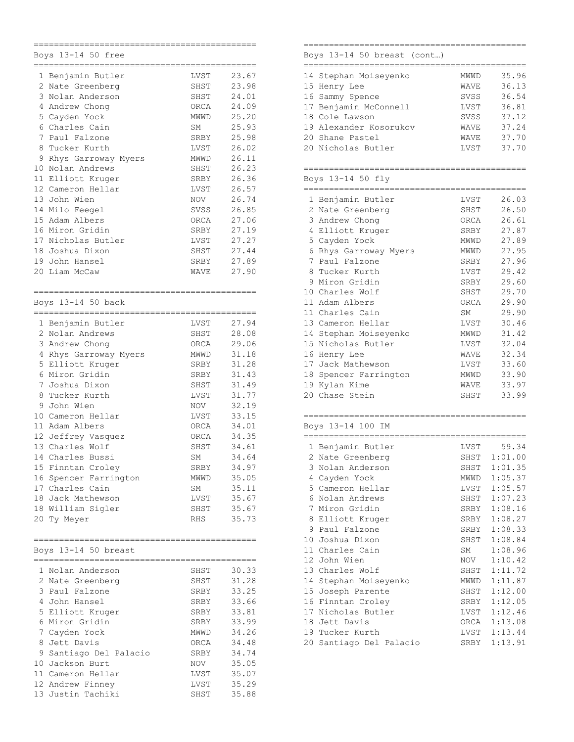|                 | Boys 13-14 50 free     |                     |
|-----------------|------------------------|---------------------|
|                 |                        |                     |
| 1               | Benjamin Butler        | LVST<br>23.67       |
|                 | 2 Nate Greenberg       | 23.98<br>SHST       |
| 3               | Nolan Anderson         | 24.01<br>SHST       |
|                 | 4 Andrew Chong         | ORCA<br>24.09       |
|                 | 5 Cayden Yock          | 25.20<br>MWWD       |
|                 | 6 Charles Cain         | 25.93<br>SM         |
| $7\phantom{.0}$ | Paul Falzone           | 25.98<br>SRBY       |
|                 | 8 Tucker Kurth         | 26.02<br>LVST       |
| 9               | Rhys Garroway Myers    | 26.11<br>MWWD       |
|                 | 10 Nolan Andrews       | 26.23<br>SHST       |
|                 | 11 Elliott Kruger      | 26.36<br>SRBY       |
|                 | 12 Cameron Hellar      | 26.57<br>LVST       |
|                 | 13 John Wien           | 26.74<br>NOV        |
|                 | 14 Milo Feegel         | 26.85<br>SVSS       |
| 15              | Adam Albers            | ORCA<br>27.06       |
|                 |                        |                     |
|                 | 16 Miron Gridin        | SRBY<br>27.19       |
|                 | 17 Nicholas Butler     | LVST<br>27.27       |
|                 | 18 Joshua Dixon        | SHST<br>27.44       |
|                 | 19 John Hansel         | 27.89<br>SRBY       |
|                 | 20 Liam McCaw          | 27.90<br>WAVE       |
|                 |                        |                     |
|                 | Boys 13-14 50 back     |                     |
| $=$ $=$ $=$     | _______________        |                     |
|                 | 1 Benjamin Butler      | 27.94<br>LVST       |
|                 | 2 Nolan Andrews        | 28.08<br>SHST       |
|                 | 3 Andrew Chong         | ORCA<br>29.06       |
|                 | 4 Rhys Garroway Myers  | 31.18<br>MWWD       |
|                 | 5 Elliott Kruger       | 31.28<br>SRBY       |
|                 | 6 Miron Gridin         | 31.43<br>SRBY       |
| $7\phantom{.0}$ | Joshua Dixon           | 31.49<br>SHST       |
| 8               | Tucker Kurth           | 31.77<br>LVST       |
| 9               | John Wien              | 32.19<br><b>NOV</b> |
|                 | 10 Cameron Hellar      | 33.15<br>LVST       |
|                 | 11 Adam Albers         | ORCA<br>34.01       |
|                 | 12 Jeffrey Vasquez     | 34.35<br>ORCA       |
|                 | 13 Charles Wolf        | SHST<br>34.61       |
|                 | 14 Charles Bussi       | 34.64<br>SΜ         |
|                 | 15 Finntan Croley      | 34.97<br>SRBY       |
|                 | 16 Spencer Farrington  | 35.05<br>MWWD       |
|                 | 17 Charles Cain        | 35.11               |
|                 |                        | SΜ                  |
|                 | 18 Jack Mathewson      | 35.67<br>LVST       |
|                 | 18 William Sigler      | 35.67<br>SHST       |
|                 | 20 Ty Meyer            | 35.73<br>RHS        |
|                 |                        |                     |
|                 | Boys 13-14 50 breast   |                     |
|                 | 1 Nolan Anderson       | 30.33<br>SHST       |
|                 | 2 Nate Greenberg       | 31.28<br>SHST       |
|                 | 3 Paul Falzone         | SRBY<br>33.25       |
|                 | 4 John Hansel          | 33.66<br>SRBY       |
|                 | 5 Elliott Kruger       | 33.81<br>SRBY       |
|                 |                        |                     |
|                 | 6 Miron Gridin         | 33.99<br>SRBY       |
|                 | 7 Cayden Yock          | 34.26<br>MWWD       |
|                 | 8 Jett Davis           | 34.48<br>ORCA       |
|                 | 9 Santiago Del Palacio | SRBY<br>34.74       |
|                 | 10 Jackson Burt        | 35.05<br>NOV        |
|                 | 11 Cameron Hellar      | 35.07<br>LVST       |
|                 | 12 Andrew Finney       | 35.29<br>LVST       |
|                 | 13 Justin Tachiki      | 35.88<br>SHST       |
|                 |                        |                     |

# Boys 13-14 50 breast (cont…)

| 14 Stephan Moiseyenko  | <b>MWWD</b> | 35.96 |
|------------------------|-------------|-------|
| 15 Henry Lee           | <b>WAVE</b> | 36.13 |
| 16 Sammy Spence        | SVSS        | 36.54 |
| 17 Benjamin McConnell  | LVST        | 36.81 |
| 18 Cole Lawson         | SVSS        | 37.12 |
| 19 Alexander Kosorukov | WAVE        | 37.24 |
| 20 Shane Pastel        | <b>WAVE</b> | 37.70 |
| 20 Nicholas Butler     | LVST        | 37.70 |
|                        |             |       |

============================================

### ============================================ Boys 13-14 50 fly

|    | 1 Benjamin Butler   | LVST | 26.03 |
|----|---------------------|------|-------|
| 2  | Nate Greenberg      | SHST | 26.50 |
|    | 3 Andrew Chong      | ORCA | 26.61 |
|    | 4 Elliott Kruger    | SRBY | 27.87 |
|    | 5 Cayden Yock       | MWWD | 27.89 |
| 6  | Rhys Garroway Myers | MWWD | 27.95 |
|    | 7 Paul Falzone      | SRBY | 27.96 |
|    | 8 Tucker Kurth      | LVST | 29.42 |
| 9  | Miron Gridin        | SRBY | 29.60 |
| 10 | Charles Wolf        | SHST | 29.70 |
| 11 | Adam Albers         | ORCA | 29.90 |
| 11 | Charles Cain        | SM   | 29.90 |
| 13 | Cameron Hellar      | LVST | 30.46 |
| 14 | Stephan Moiseyenko  | MWWD | 31.42 |
|    | 15 Nicholas Butler  | LVST | 32.04 |
|    | 16 Henry Lee        | WAVE | 32.34 |
| 17 | Jack Mathewson      | LVST | 33.60 |
| 18 | Spencer Farrington  | MWWD | 33.90 |
|    | 19 Kylan Kime       | WAVE | 33.97 |
|    | 20 Chase Stein      | SHST | 33.99 |
|    |                     |      |       |

### ============================================ Boys 13-14 100 IM

|                   | 1 Benjamin Butler       | LVST | 59.34   |
|-------------------|-------------------------|------|---------|
|                   | 2 Nate Greenberg        | SHST | 1:01.00 |
| 3                 | Nolan Anderson          | SHST | 1:01.35 |
| 4                 | Cayden Yock             | MWWD | 1:05.37 |
| 5.                | Cameron Hellar          | LVST | 1:05.57 |
| 6                 | Nolan Andrews           | SHST | 1:07.23 |
| 7                 | Miron Gridin            | SRBY | 1:08.16 |
|                   | 8 Elliott Kruger        | SRBY | 1:08.27 |
| 9                 | Paul Falzone            | SRBY | 1:08.33 |
| 10                | Joshua Dixon            | SHST | 1:08.84 |
| 11                | Charles Cain            | SM   | 1:08.96 |
| $12 \overline{ }$ | John Wien               | NOV  | 1:10.42 |
| 13                | Charles Wolf            | SHST | 1:11.72 |
| 14                | Stephan Moiseyenko      | MWWD | 1:11.87 |
| 15                | Joseph Parente          | SHST | 1:12.00 |
| 16                | Finntan Croley          | SRBY | 1:12.05 |
| 17                | Nicholas Butler         | LVST | 1:12.46 |
| 18                | Jett Davis              | ORCA | 1:13.08 |
|                   | 19 Tucker Kurth         | LVST | 1:13.44 |
|                   | 20 Santiago Del Palacio | SRBY | 1:13.91 |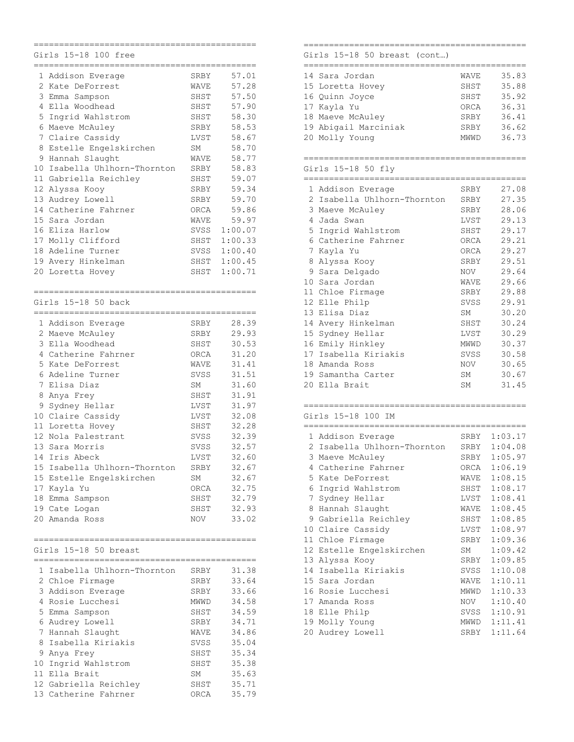|                | Girls 15-18 100 free                         |      |         |
|----------------|----------------------------------------------|------|---------|
|                | -----------------------<br>1 Addison Everage | SRBY | 57.01   |
| $\overline{2}$ | Kate DeForrest                               | WAVE | 57.28   |
| 3              | Emma Sampson                                 | SHST | 57.50   |
|                | 4 Ella Woodhead                              | SHST | 57.90   |
|                | 5 Ingrid Wahlstrom                           | SHST | 58.30   |
|                | 6 Maeve McAuley                              | SRBY | 58.53   |
|                | 7 Claire Cassidy                             | LVST | 58.67   |
| 8              | Estelle Engelskirchen                        | SM   | 58.70   |
| 9              | Hannah Slaught                               | WAVE | 58.77   |
| 10             | Isabella Uhlhorn-Thornton                    | SRBY | 58.83   |
|                | 11 Gabriella Reichley                        | SHST | 59.07   |
|                | 12 Alyssa Kooy                               | SRBY | 59.34   |
|                | 13 Audrey Lowell                             | SRBY | 59.70   |
|                | 14 Catherine Fahrner                         | ORCA | 59.86   |
| 15             | Sara Jordan                                  | WAVE | 59.97   |
| 16             | Eliza Harlow                                 | SVSS | 1:00.07 |
| 17             | Molly Clifford                               | SHST | 1:00.33 |
|                | 18 Adeline Turner                            | SVSS | 1:00.40 |
|                | 19 Avery Hinkelman                           | SHST | 1:00.45 |
| 20             | Loretta Hovey                                | SHST | 1:00.71 |
|                |                                              |      |         |
|                | Girls 15–18 50 back                          |      |         |
|                | _______________________<br>1 Addison Everage | SRBY | 28.39   |
|                | 2 Maeve McAuley                              | SRBY | 29.93   |
| 3              | Ella Woodhead                                | SHST | 30.53   |
|                | 4 Catherine Fahrner                          | ORCA | 31.20   |
| 5.             | Kate DeForrest                               | WAVE | 31.41   |
|                | 6 Adeline Turner                             | SVSS | 31.51   |
|                | 7 Elisa Diaz                                 | SΜ   | 31.60   |
| 8              | Anya Frey                                    | SHST | 31.91   |
| 9              | Sydney Hellar                                | LVST | 31.97   |
|                | 10 Claire Cassidy                            | LVST | 32.08   |
|                | 11 Loretta Hovey                             | SHST | 32.28   |
|                | 12 Nola Palestrant                           | SVSS | 32.39   |
|                | 13 Sara Morris                               | SVSS | 32.57   |
| 14             | Iris Abeck                                   | LVST | 32.60   |
| 15             | Isabella Uhlhorn-Thornton                    | SRBY | 32.67   |
|                | 15 Estelle Engelskirchen                     | SΜ   | 32.67   |
|                | 17 Kayla Yu                                  | ORCA | 32.75   |
|                | 18 Emma Sampson                              | SHST | 32.79   |
|                | 19 Cate Logan                                | SHST | 32.93   |
|                | 20 Amanda Ross                               | NOV  | 33.02   |
|                |                                              |      |         |
|                | Girls 15-18 50 breast                        |      |         |
|                | 1 Isabella Uhlhorn-Thornton                  | SRBY | 31.38   |
|                | 2 Chloe Firmage                              | SRBY | 33.64   |
|                | 3 Addison Everage                            | SRBY | 33.66   |
|                | 4 Rosie Lucchesi                             | MWWD | 34.58   |
|                | 5 Emma Sampson                               | SHST | 34.59   |
|                | 6 Audrey Lowell                              | SRBY | 34.71   |
|                | 7 Hannah Slaught                             | WAVE | 34.86   |
|                | 8 Isabella Kiriakis                          | SVSS | 35.04   |
|                | 9 Anya Frey                                  | SHST | 35.34   |
|                | 10 Ingrid Wahlstrom                          | SHST | 35.38   |
|                | 11 Ella Brait                                | SM   | 35.63   |
|                | 12 Gabriella Reichley                        | SHST | 35.71   |
|                | 13 Catherine Fahrner                         | ORCA | 35.79   |

# Girls 15-18 50 breast (cont…)

| 14 Sara Jordan       | WAVE        | 35.83 |
|----------------------|-------------|-------|
| 15 Loretta Hovey     | SHST        | 35.88 |
| 16 Quinn Joyce       | SHST        | 35.92 |
| 17 Kayla Yu          | ORCA        | 36.31 |
| 18 Maeve McAuley     | SRBY        | 36.41 |
| 19 Abigail Marciniak | SRBY        | 36.62 |
| 20 Molly Young       | <b>MWWD</b> | 36.73 |
|                      |             |       |

============================================

## ============================================ Girls 15-18 50 fly

| 15-18<br>-50<br>Firls |
|-----------------------|
|-----------------------|

|             | ATTIS TALIO AA TIA          |      |       |
|-------------|-----------------------------|------|-------|
|             |                             |      |       |
|             | 1 Addison Everage           | SRBY | 27.08 |
|             | 2 Isabella Uhlhorn-Thornton | SRBY | 27.35 |
|             | 3 Maeve McAuley             | SRBY | 28.06 |
|             | 4 Jada Swan                 | LVST | 29.13 |
|             | 5 Ingrid Wahlstrom          | SHST | 29.17 |
|             | 6 Catherine Fahrner         | ORCA | 29.21 |
| $7^{\circ}$ | Kayla Yu                    | ORCA | 29.27 |
|             | 8 Alyssa Kooy               | SRBY | 29.51 |
|             | 9 Sara Delgado              | NOV  | 29.64 |
| 10          | Sara Jordan                 | WAVE | 29.66 |
|             | 11 Chloe Firmage            | SRBY | 29.88 |
|             | 12 Elle Philp               | SVSS | 29.91 |
|             | 13 Elisa Diaz               | SM   | 30.20 |
|             | 14 Avery Hinkelman          | SHST | 30.24 |
|             | 15 Sydney Hellar            | LVST | 30.29 |
|             | 16 Emily Hinkley            | MWWD | 30.37 |
| 17          | Isabella Kiriakis           | SVSS | 30.58 |
|             | 18 Amanda Ross              | NOV  | 30.65 |
|             | 19 Samantha Carter          | SM   | 30.67 |
|             | 20 Ella Brait               | SΜ   | 31.45 |
|             |                             |      |       |

| Girls 15-18 100 IM |  |  |
|--------------------|--|--|

|    | 1 Addison Everage         | SRBY            | 1:03.17 |
|----|---------------------------|-----------------|---------|
| 2. | Isabella Uhlhorn-Thornton | SRBY            | 1:04.08 |
| 3  | Maeve McAuley             | SRBY            | 1:05.97 |
| 4  | Catherine Fahrner         | ORCA            | 1:06.19 |
| 5. | Kate DeForrest            | WAVE            | 1:08.15 |
| 6  | Ingrid Wahlstrom          | SHST            | 1:08.17 |
| 7  | Sydney Hellar             | LVST            | 1:08.41 |
|    | 8 Hannah Slaught          | WAVE            | 1:08.45 |
| 9  | Gabriella Reichley        | SHST            | 1:08.85 |
| 10 | Claire Cassidy            | LVST            | 1:08.97 |
| 11 | Chloe Firmage             | SRBY            | 1:09.36 |
|    | 12 Estelle Engelskirchen  | SM <sub>3</sub> | 1:09.42 |
| 13 | Alyssa Kooy               | SRBY            | 1:09.85 |
| 14 | Isabella Kiriakis         | SVSS            | 1:10.08 |
|    | 15 Sara Jordan            | WAVE            | 1:10.11 |
|    | 16 Rosie Lucchesi         | MWWD            | 1:10.33 |
|    | 17 Amanda Ross            | NOV             | 1:10.40 |
|    | 18 Elle Philp             | SVSS            | 1:10.91 |
|    | 19 Molly Young            | MWWD            | 1:11.41 |
|    | 20 Audrey Lowell          | SRBY            | 1:11.64 |